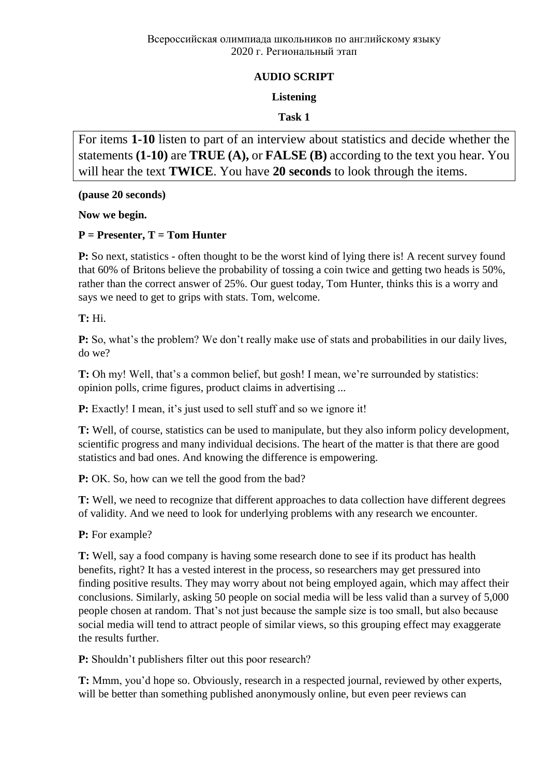#### **AUDIO SCRIPT**

#### **Listening**

#### **Task 1**

For items **1-10** listen to part of an interview about statistics and decide whether the statements **(1-10)** are **TRUE (A),** or **FALSE (B)** according to the text you hear. You will hear the text **TWICE**. You have **20 seconds** to look through the items.

**(pause 20 seconds)**

**Now we begin.**

#### **P = Presenter, T = Tom Hunter**

**P:** So next, statistics - often thought to be the worst kind of lying there is! A recent survey found that 60% of Britons believe the probability of tossing a coin twice and getting two heads is 50%, rather than the correct answer of 25%. Our guest today, Tom Hunter, thinks this is a worry and says we need to get to grips with stats. Tom, welcome.

**T:** Hi.

**P:** So, what's the problem? We don't really make use of stats and probabilities in our daily lives, do we?

**T:** Oh my! Well, that's a common belief, but gosh! I mean, we're surrounded by statistics: opinion polls, crime figures, product claims in advertising ...

**P:** Exactly! I mean, it's just used to sell stuff and so we ignore it!

**T:** Well, of course, statistics can be used to manipulate, but they also inform policy development, scientific progress and many individual decisions. The heart of the matter is that there are good statistics and bad ones. And knowing the difference is empowering.

**P:** OK. So, how can we tell the good from the bad?

**T:** Well, we need to recognize that different approaches to data collection have different degrees of validity. And we need to look for underlying problems with any research we encounter.

**P:** For example?

**T:** Well, say a food company is having some research done to see if its product has health benefits, right? It has a vested interest in the process, so researchers may get pressured into finding positive results. They may worry about not being employed again, which may affect their conclusions. Similarly, asking 50 people on social media will be less valid than a survey of 5,000 people chosen at random. That's not just because the sample size is too small, but also because social media will tend to attract people of similar views, so this grouping effect may exaggerate the results further.

**P:** Shouldn't publishers filter out this poor research?

**T:** Mmm, you'd hope so. Obviously, research in a respected journal, reviewed by other experts, will be better than something published anonymously online, but even peer reviews can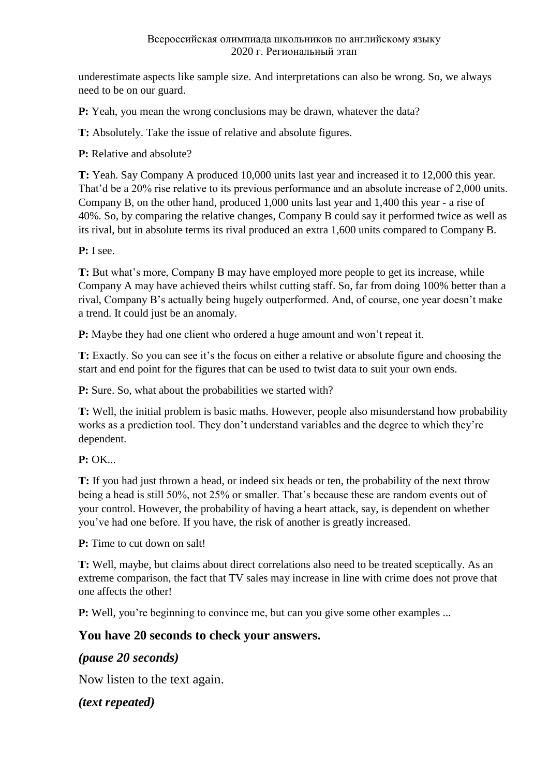#### Всероссийская олимпиада школьников по английскому языку 2020 г. Региональный этап

underestimate aspects like sample size. And interpretations can also be wrong. So, we always need to be on our guard.

**P:** Yeah, you mean the wrong conclusions may be drawn, whatever the data?

**T:** Absolutely. Take the issue of relative and absolute figures.

**P:** Relative and absolute?

**T:** Yeah. Say Company A produced 10,000 units last year and increased it to 12,000 this year. That'd be a 20% rise relative to its previous performance and an absolute increase of 2,000 units. Company B, on the other hand, produced 1,000 units last year and 1,400 this year - a rise of 40%. So, by comparing the relative changes, Company В could say it performed twice as well as its rival, but in absolute terms its rival produced an extra 1,600 units compared to Company B.

**P:** I see.

**T:** But what's more, Company B may have employed more people to get its increase, while Company A may have achieved theirs whilst cutting staff. So, far from doing 100% better than a rival, Company B's actually being hugely outperformed. And, of course, one year doesn't make a trend. It could just be an anomaly.

**P:** Maybe they had one client who ordered a huge amount and won't repeat it.

**T:** Exactly. So you can see it's the focus on either a relative or absolute figure and choosing the start and end point for the figures that can be used to twist data to suit your own ends.

**P:** Sure. So, what about the probabilities we started with?

**T:** Well, the initial problem is basic maths. However, people also misunderstand how probability works as a prediction tool. They don't understand variables and the degree to which they're dependent.

**P:** OK...

**T:** If you had just thrown a head, or indeed six heads or ten, the probability of the next throw being a head is still 50%, not 25% or smaller. That's because these are random events out of your control. However, the probability of having a heart attack, say, is dependent on whether you've had one before. If you have, the risk of another is greatly increased.

**P:** Time to cut down on salt!

**T:** Well, maybe, but claims about direct correlations also need to be treated sceptically. As an extreme comparison, the fact that TV sales may increase in line with crime does not prove that one affects the other!

**P:** Well, you're beginning to convince me, but can you give some other examples ...

### **You have 20 seconds to check your answers.**

### *(pause 20 seconds)*

Now listen to the text again.

*(text repeated)*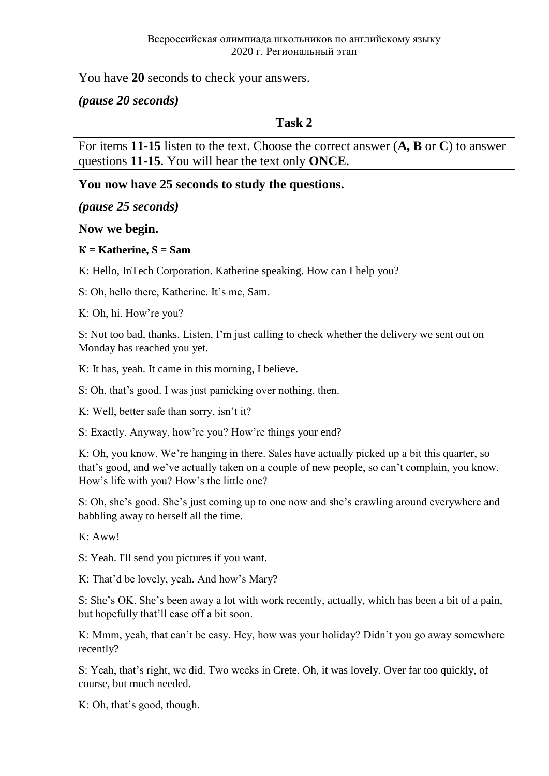You have **20** seconds to check your answers.

*(pause 20 seconds)*

## **Task 2**

For items **11-15** listen to the text. Choose the correct answer (**A, B** or **C**) to answer questions **11-15**. You will hear the text only **ONCE**.

## **You now have 25 seconds to study the questions.**

*(pause 25 seconds)*

### **Now we begin.**

#### $K =$ **Katherine, S** = Sam

K: Hello, InTech Corporation. Katherine speaking. How can I help you?

S: Oh, hello there, Katherine. It's me, Sam.

K: Oh, hi. How're you?

S: Not too bad, thanks. Listen, I'm just calling to check whether the delivery we sent out on Monday has reached you yet.

K: It has, yeah. It came in this morning, I believe.

S: Oh, that's good. I was just panicking over nothing, then.

K: Well, better safe than sorry, isn't it?

S: Exactly. Anyway, how're you? How're things your end?

K: Oh, you know. We're hanging in there. Sales have actually picked up a bit this quarter, so that's good, and we've actually taken on a couple of new people, so can't complain, you know. How's life with you? How's the little one?

S: Oh, she's good. She's just coming up to one now and she's crawling around everywhere and babbling away to herself all the time.

 $K \cdot A$ ww!

S: Yeah. I'll send you pictures if you want.

K: That'd be lovely, yeah. And how's Mary?

S: She's OK. She's been away a lot with work recently, actually, which has been a bit of a pain, but hopefully that'll ease off a bit soon.

K: Mmm, yeah, that can't be easy. Hey, how was your holiday? Didn't you go away somewhere recently?

S: Yeah, that's right, we did. Two weeks in Crete. Oh, it was lovely. Over far too quickly, of course, but much needed.

K: Oh, that's good, though.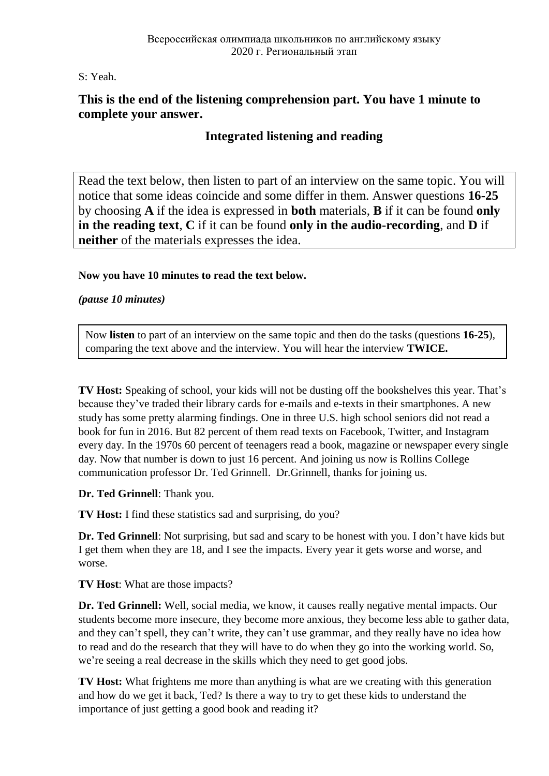S: Yeah.

## **This is the end of the listening comprehension part. You have 1 minute to complete your answer.**

# **Integrated listening and reading**

Read the text below, then listen to part of an interview on the same topic. You will notice that some ideas coincide and some differ in them. Answer questions **16-25** by choosing **A** if the idea is expressed in **both** materials, **B** if it can be found **only in the reading text**, **C** if it can be found **only in the audio-recording**, and **D** if **neither** of the materials expresses the idea.

#### **Now you have 10 minutes to read the text below.**

*(pause 10 minutes)*

Now **listen** to part of an interview on the same topic and then do the tasks (questions **16-25**), comparing the text above and the interview. You will hear the interview **TWICE.**

**TV Host:** Speaking of school, your kids will not be dusting off the bookshelves this year. That's because they've traded their library cards for e-mails and e-texts in their smartphones. A new study has some pretty alarming findings. One in three U.S. high school seniors did not read a book for fun in 2016. But 82 percent of them read texts on Facebook, Twitter, and Instagram every day. In the 1970s 60 percent of teenagers read a book, magazine or newspaper every single day. Now that number is down to just 16 percent. And joining us now is Rollins College communication professor Dr. Ted Grinnell. Dr.Grinnell, thanks for joining us.

**Dr. Ted Grinnell**: Thank you.

**TV Host:** I find these statistics sad and surprising, do you?

**Dr. Ted Grinnell**: Not surprising, but sad and scary to be honest with you. I don't have kids but I get them when they are 18, and I see the impacts. Every year it gets worse and worse, and worse.

**TV Host**: What are those impacts?

**Dr. Ted Grinnell:** Well, social media, we know, it causes really negative mental impacts. Our students become more insecure, they become more anxious, they become less able to gather data, and they can't spell, they can't write, they can't use grammar, and they really have no idea how to read and do the research that they will have to do when they go into the working world. So, we're seeing a real decrease in the skills which they need to get good jobs.

**TV Host:** What frightens me more than anything is what are we creating with this generation and how do we get it back, Ted? Is there a way to try to get these kids to understand the importance of just getting a good book and reading it?